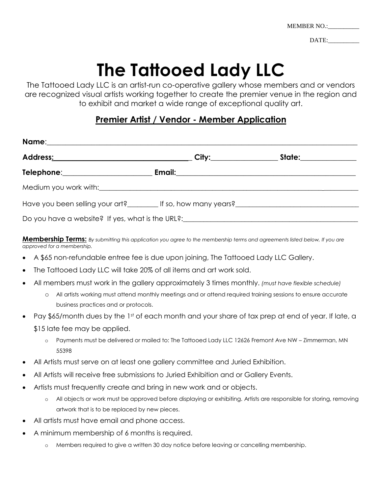| MEMBER NO.: |  |
|-------------|--|
|             |  |

DATE:

## **The Tattooed Lady LLC**

The Tattooed Lady LLC is an artist-run co-operative gallery whose members and or vendors are recognized visual artists working together to create the premier venue in the region and to exhibit and market a wide range of exceptional quality art.

## **Premier Artist / Vendor - Member Application**

|                                                                                                                                                                                                                                | City:___________ | State: the state of the state of the state of the state of the state of the state of the state of the state of the state of the state of the state of the state of the state of the state of the state of the state of the sta |  |
|--------------------------------------------------------------------------------------------------------------------------------------------------------------------------------------------------------------------------------|------------------|--------------------------------------------------------------------------------------------------------------------------------------------------------------------------------------------------------------------------------|--|
| Telephone: Telephone:                                                                                                                                                                                                          |                  |                                                                                                                                                                                                                                |  |
| Medium you work with: example and a state of the state of the state of the state of the state of the state of the state of the state of the state of the state of the state of the state of the state of the state of the stat |                  |                                                                                                                                                                                                                                |  |
| Have you been selling your art? If so, how many years?                                                                                                                                                                         |                  |                                                                                                                                                                                                                                |  |
| Do you have a website? If yes, what is the URL?: [10] you have a website? If yes, what is the URL?:                                                                                                                            |                  |                                                                                                                                                                                                                                |  |

**Membership Terms:** *By submitting this application you agree to the membership terms and agreements listed below, If you are approved for a membership.*

- A \$65 non-refundable entree fee is due upon joining, The Tattooed Lady LLC Gallery.
- The Tattooed Lady LLC will take 20% of all items and art work sold.
- All members must work in the gallery approximately 3 times monthly. *(must have flexible schedule)*
	- o All artists working must attend monthly meetings and or attend required training sessions to ensure accurate business practices and or protocols.
- Pay \$65/month dues by the 1st of each month and your share of tax prep at end of year. If late, a
	- \$15 late fee may be applied.
		- o Payments must be delivered or mailed to: The Tattooed Lady LLC 12626 Fremont Ave NW Zimmerman, MN 55398
- All Artists must serve on at least one gallery committee and Juried Exhibition.
- All Artists will receive free submissions to Juried Exhibition and or Gallery Events.
- Artists must frequently create and bring in new work and or objects.
	- o All objects or work must be approved before displaying or exhibiting. Artists are responsible for storing, removing artwork that is to be replaced by new pieces.
- All artists must have email and phone access.
- A minimum membership of 6 months is required.
	- o Members required to give a written 30 day notice before leaving or cancelling membership.